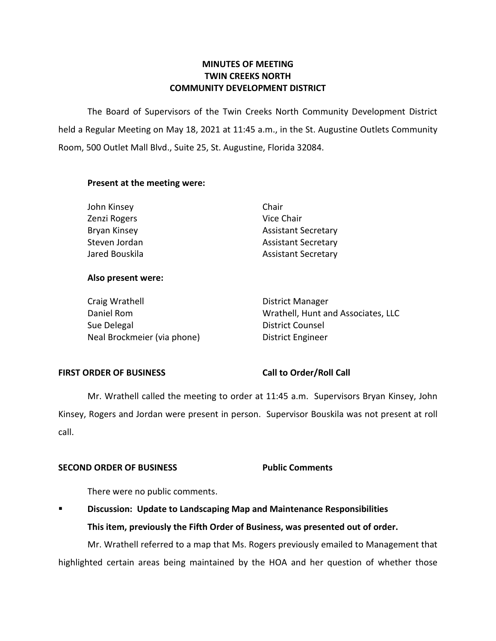# **MINUTES OF MEETING TWIN CREEKS NORTH COMMUNITY DEVELOPMENT DISTRICT**

 The Board of Supervisors of the Twin Creeks North Community Development District held a Regular Meeting on May 18, 2021 at 11:45 a.m., in the St. Augustine Outlets Community Room, 500 Outlet Mall Blvd., Suite 25, St. Augustine, Florida 32084.

# **Present at the meeting were:**

| John Kinsey    | Chair                      |
|----------------|----------------------------|
| Zenzi Rogers   | Vice Chair                 |
| Bryan Kinsey   | <b>Assistant Secretary</b> |
| Steven Jordan  | <b>Assistant Secretary</b> |
| Jared Bouskila | <b>Assistant Secretary</b> |

### **Also present were:**

| Craig Wrathell              | District Manager                   |
|-----------------------------|------------------------------------|
| Daniel Rom                  | Wrathell, Hunt and Associates, LLC |
| Sue Delegal                 | District Counsel                   |
| Neal Brockmeier (via phone) | District Engineer                  |

### FIRST ORDER OF BUSINESS Call to Order/Roll Call

 Kinsey, Rogers and Jordan were present in person. Supervisor Bouskila was not present at roll Mr. Wrathell called the meeting to order at 11:45 a.m. Supervisors Bryan Kinsey, John call.

# **SECOND ORDER OF BUSINESS Public Comments**

There were no public comments.

▪ **Discussion: Update to Landscaping Map and Maintenance Responsibilities This item, previously the Fifth Order of Business, was presented out of order.**  Mr. Wrathell referred to a map that Ms. Rogers previously emailed to Management that

highlighted certain areas being maintained by the HOA and her question of whether those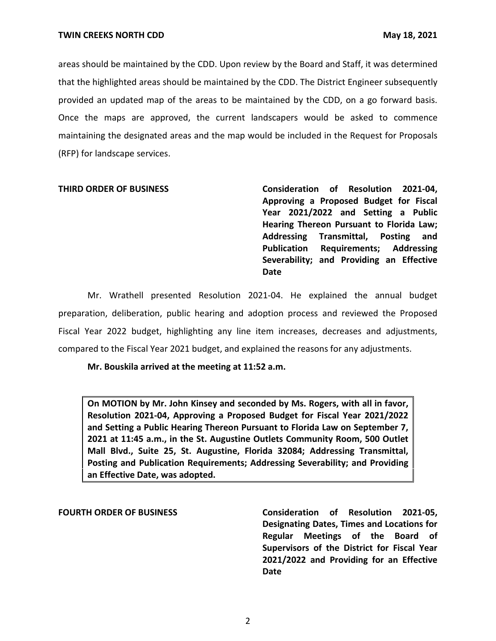areas should be maintained by the CDD. Upon review by the Board and Staff, it was determined that the highlighted areas should be maintained by the CDD. The District Engineer subsequently provided an updated map of the areas to be maintained by the CDD, on a go forward basis. Once the maps are approved, the current landscapers would be asked to commence maintaining the designated areas and the map would be included in the Request for Proposals (RFP) for landscape services.

**THIRD ORDER OF BUSINESS Consideration of Resolution 2021-04, Approving a Proposed Budget for Fiscal Year 2021/2022 and Setting a Public Hearing Thereon Pursuant to Florida Law; Addressing Transmittal, Posting and Publication Requirements; Addressing Severability; and Providing an Effective Date** 

 preparation, deliberation, public hearing and adoption process and reviewed the Proposed Fiscal Year 2022 budget, highlighting any line item increases, decreases and adjustments, compared to the Fiscal Year 2021 budget, and explained the reasons for any adjustments. Mr. Wrathell presented Resolution 2021-04. He explained the annual budget

### **Mr. Bouskila arrived at the meeting at 11:52 a.m.**

 **On MOTION by Mr. John Kinsey and seconded by Ms. Rogers, with all in favor, 2021 at 11:45 a.m., in the St. Augustine Outlets Community Room, 500 Outlet Resolution 2021-04, Approving a Proposed Budget for Fiscal Year 2021/2022 and Setting a Public Hearing Thereon Pursuant to Florida Law on September 7, Mall Blvd., Suite 25, St. Augustine, Florida 32084; Addressing Transmittal, Posting and Publication Requirements; Addressing Severability; and Providing an Effective Date, was adopted.** 

**FOURTH ORDER OF BUSINESS Consideration of Resolution 2021-05, Designating Dates, Times and Locations for Regular Meetings of the Board of Supervisors of the District for Fiscal Year 2021/2022 and Providing for an Effective Date** 

2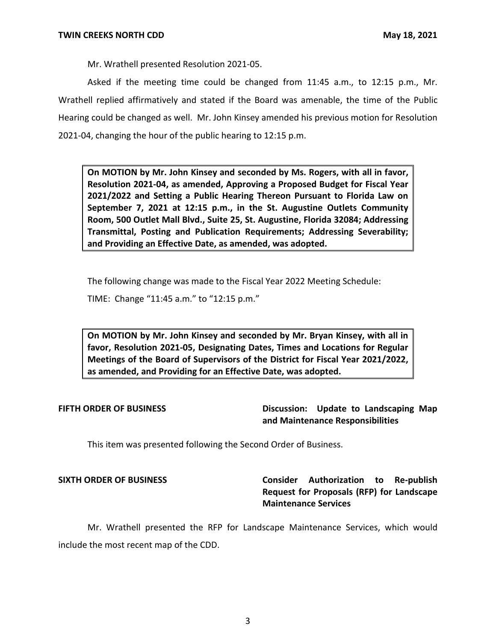Mr. Wrathell presented Resolution 2021-05.

Asked if the meeting time could be changed from 11:45 a.m., to 12:15 p.m., Mr. Wrathell replied affirmatively and stated if the Board was amenable, the time of the Public Hearing could be changed as well. Mr. John Kinsey amended his previous motion for Resolution 2021-04, changing the hour of the public hearing to 12:15 p.m.

 **On MOTION by Mr. John Kinsey and seconded by Ms. Rogers, with all in favor, September 7, 2021 at 12:15 p.m., in the St. Augustine Outlets Community Resolution 2021-04, as amended, Approving a Proposed Budget for Fiscal Year 2021/2022 and Setting a Public Hearing Thereon Pursuant to Florida Law on Room, 500 Outlet Mall Blvd., Suite 25, St. Augustine, Florida 32084; Addressing Transmittal, Posting and Publication Requirements; Addressing Severability; and Providing an Effective Date, as amended, was adopted.** 

The following change was made to the Fiscal Year 2022 Meeting Schedule:

TIME: Change "11:45 a.m." to "12:15 p.m."

 **On MOTION by Mr. John Kinsey and seconded by Mr. Bryan Kinsey, with all in favor, Resolution 2021-05, Designating Dates, Times and Locations for Regular Meetings of the Board of Supervisors of the District for Fiscal Year 2021/2022, as amended, and Providing for an Effective Date, was adopted.** 

**FIFTH ORDER OF BUSINESS Discussion: Update to Landscaping Map and Maintenance Responsibilities** 

This item was presented following the Second Order of Business.

**SIXTH ORDER OF BUSINESS Consider Authorization to Re-publish Request for Proposals (RFP) for Landscape Maintenance Services** 

Mr. Wrathell presented the RFP for Landscape Maintenance Services, which would include the most recent map of the CDD.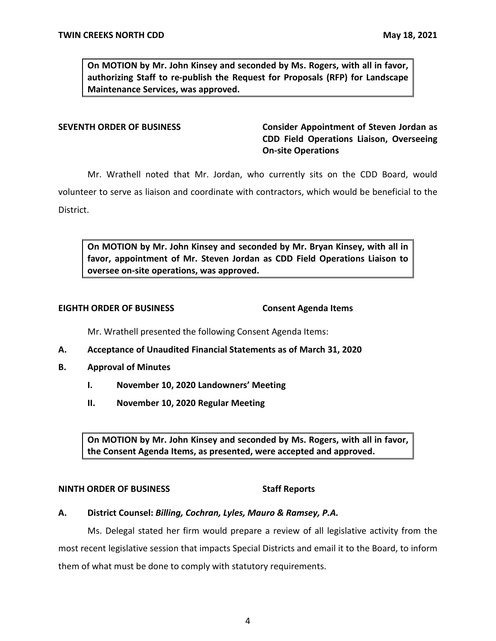**On MOTION by Mr. John Kinsey and seconded by Ms. Rogers, with all in favor, authorizing Staff to re-publish the Request for Proposals (RFP) for Landscape Maintenance Services, was approved.** 

**SEVENTH ORDER OF BUSINESS Consider Appointment of Steven Jordan as CDD Field Operations Liaison, Overseeing On-site Operations** 

Mr. Wrathell noted that Mr. Jordan, who currently sits on the CDD Board, would volunteer to serve as liaison and coordinate with contractors, which would be beneficial to the

District.

 **On MOTION by Mr. John Kinsey and seconded by Mr. Bryan Kinsey, with all in favor, appointment of Mr. Steven Jordan as CDD Field Operations Liaison to oversee on-site operations, was approved.** 

### **EIGHTH ORDER OF BUSINESS**

**Consent Agenda Items** 

Mr. Wrathell presented the following Consent Agenda Items:

- **A. Acceptance of Unaudited Financial Statements as of March 31, 2020**
- **B. Approval of Minutes** 
	- **I. November 10, 2020 Landowners' Meeting**
	- **II. November 10, 2020 Regular Meeting**

 **On MOTION by Mr. John Kinsey and seconded by Ms. Rogers, with all in favor, the Consent Agenda Items, as presented, were accepted and approved.** 

### **NINTH ORDER OF BUSINESS** Staff Reports

### **A. District Counsel:** *Billing, Cochran, Lyles, Mauro & Ramsey, P.A.*

Ms. Delegal stated her firm would prepare a review of all legislative activity from the most recent legislative session that impacts Special Districts and email it to the Board, to inform them of what must be done to comply with statutory requirements.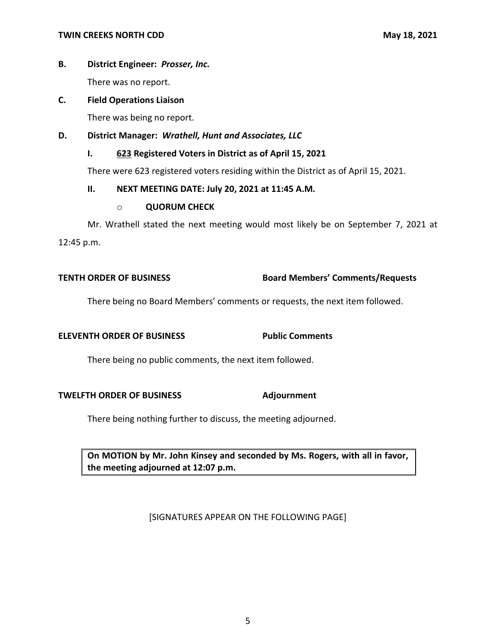# **B. District Engineer:** *Prosser, Inc.*

There was no report.

# **C. Field Operations Liaison**

There was being no report.

# **D. District Manager:** *Wrathell, Hunt and Associates, LLC*

# **I. 623 Registered Voters in District as of April 15, 2021**

There were 623 registered voters residing within the District as of April 15, 2021.

# **II. NEXT MEETING DATE: July 20, 2021 at 11:45 A.M.**

### o **QUORUM CHECK**

 Mr. Wrathell stated the next meeting would most likely be on September 7, 2021 at 12:45 p.m.

# **TENTH ORDER OF BUSINESS Board Members' Comments/Requests**

There being no Board Members' comments or requests, the next item followed.

# **ELEVENTH ORDER OF BUSINESS Public Comments**

There being no public comments, the next item followed.

### **TWELFTH ORDER OF BUSINESS Adjournment**

There being nothing further to discuss, the meeting adjourned.

 **On MOTION by Mr. John Kinsey and seconded by Ms. Rogers, with all in favor, the meeting adjourned at 12:07 p.m.** 

[SIGNATURES APPEAR ON THE FOLLOWING PAGE]